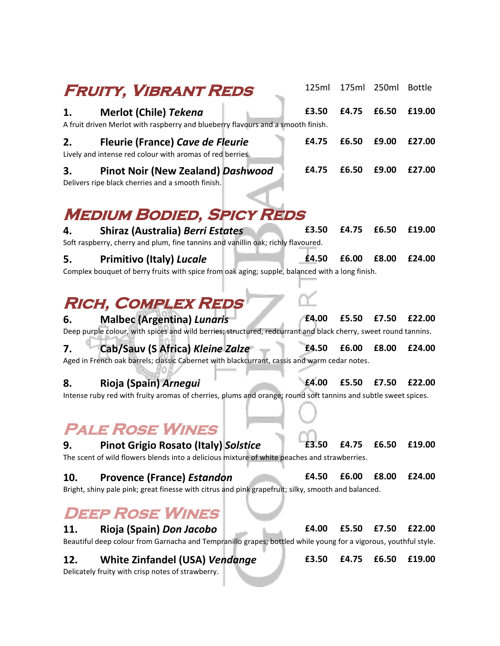|     | FRUITY, VIBRANT REDS                                                                                                                                 | 125ml | 175ml             | 250ml | <b>Bottle</b> |
|-----|------------------------------------------------------------------------------------------------------------------------------------------------------|-------|-------------------|-------|---------------|
| 1.  | Merlot (Chile) Tekena<br>A fruit driven Merlot with raspberry and blueberry flavours and a smooth finish.                                            | £3.50 | £4.75             | £6.50 | £19.00        |
| 2.  | <b>Fleurie (France) Cave de Fleurie</b><br>Lively and intense red colour with aromas of red berries.                                                 | £4.75 | £6.50             | £9.00 | £27.00        |
| 3.  | <b>Pinot Noir (New Zealand) Dashwood</b><br>Delivers ripe black cherries and a smooth finish.                                                        | £4.75 | £6.50             | £9.00 | £27.00        |
|     | <b>MEDIUM BODIED, SPICY REDS</b>                                                                                                                     |       |                   |       |               |
| 4.  | <b>Shiraz (Australia) Berri Estates</b><br>Soft raspberry, cherry and plum, fine tannins and vanillin oak; richly flavoured.                         | £3.50 | £4.75             | £6.50 | £19.00        |
| 5.  | <b>Primitivo (Italy) Lucale</b><br>Complex bouquet of berry fruits with spice from oak aging; supple, balanced with a long finish.                   | £4.50 | £6.00             | £8.00 | £24.00        |
|     | <b>RICH, COMPLEX REDS</b>                                                                                                                            |       |                   |       |               |
| 6.  | <b>Malbec (Argentina) Lunaris</b><br>Deep purple colour, with spices and wild berries; structured, redcurrant and black cherry, sweet round tannins. | £4.00 | £5.50             | £7.50 | £22.00        |
| 7.  | Cab/Sauv (S Africa) Kleine Zalze<br>Aged in French oak barrels; classic Cabernet with blackcurrant, cassis and warm cedar notes.                     | £4.50 | £6.00             | £8.00 | £24.00        |
| 8.  | Rioja (Spain) Arnegui<br>Intense ruby red with fruity aromas of cherries, plums and orange; round soft tannins and subtle sweet spices.              | £4.00 | £5.50             | £7.50 | £22.00        |
|     | <b>PALE ROSE WINES</b>                                                                                                                               |       |                   |       |               |
| 9.  | <b>Pinot Grigio Rosato (Italy) Solstice</b><br>The scent of wild flowers blends into a delicious mixture of white peaches and strawberries.          |       | £3.50 £4.75 £6.50 |       | £19.00        |
| 10. | <b>Provence (France) Estandon</b><br>Bright, shiny pale pink; great finesse with citrus and pink grapefruit; silky, smooth and balanced.             | £4.50 | £6.00             | £8.00 | £24.00        |
|     | <b>DEEP ROSE WINES</b>                                                                                                                               |       |                   |       |               |
| 11. | Rioja (Spain) Don Jacobo<br>Beautiful deep colour from Garnacha and Tempranillo grapes; bottled while young for a vigorous, youthful style.          | £4.00 | £5.50             | £7.50 | £22.00        |
| 12. | <b>White Zinfandel (USA) Vendange</b>                                                                                                                | £3.50 | £4.75             | £6.50 | £19.00        |

Delicately fruity with crisp notes of strawberry.